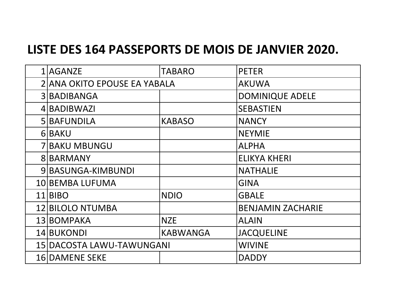## **LISTE DES 164 PASSEPORTS DE MOIS DE JANVIER 2020.**

| 1 AGANZE                     | <b>TABARO</b>   | <b>PETER</b>             |
|------------------------------|-----------------|--------------------------|
| 2 ANA OKITO EPOUSE EA YABALA |                 | <b>AKUWA</b>             |
| 3 BADIBANGA                  |                 | <b>DOMINIQUE ADELE</b>   |
| 4 BADIBWAZI                  |                 | <b>SEBASTIEN</b>         |
| 5 BAFUNDILA                  | <b>KABASO</b>   | <b>NANCY</b>             |
| 6 BAKU                       |                 | <b>NEYMIE</b>            |
| <b>7 BAKU MBUNGU</b>         |                 | <b>ALPHA</b>             |
| 8 BARMANY                    |                 | <b>ELIKYA KHERI</b>      |
| 9 BASUNGA-KIMBUNDI           |                 | <b>NATHALIE</b>          |
| 10 BEMBA LUFUMA              |                 | <b>GINA</b>              |
| 11 BIBO                      | <b>NDIO</b>     | <b>GBALE</b>             |
| 12 BILOLO NTUMBA             |                 | <b>BENJAMIN ZACHARIE</b> |
| 13 BOMPAKA                   | <b>NZE</b>      | <b>ALAIN</b>             |
| 14 BUKONDI                   | <b>KABWANGA</b> | <b>JACQUELINE</b>        |
| 15 DACOSTA LAWU-TAWUNGANI    |                 | <b>WIVINE</b>            |
| <b>16 DAMENE SEKE</b>        |                 | <b>DADDY</b>             |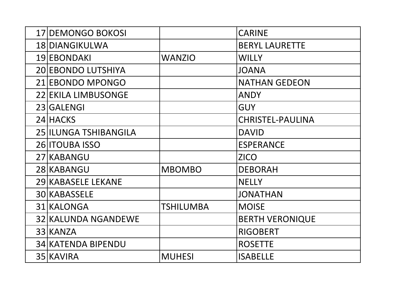| <b>17 DEMONGO BOKOSI</b>   |                  | <b>CARINE</b>           |
|----------------------------|------------------|-------------------------|
| 18 DIANGIKULWA             |                  | <b>BERYL LAURETTE</b>   |
| 19 EBONDAKI                | <b>WANZIO</b>    | <b>WILLY</b>            |
| 20 EBONDO LUTSHIYA         |                  | <b>JOANA</b>            |
| 21 EBONDO MPONGO           |                  | <b>NATHAN GEDEON</b>    |
| <b>22 EKILA LIMBUSONGE</b> |                  | ANDY                    |
| 23 GALENGI                 |                  | <b>GUY</b>              |
| 24 HACKS                   |                  | <b>CHRISTEL-PAULINA</b> |
| 25 ILUNGA TSHIBANGILA      |                  | <b>DAVID</b>            |
| 26 <b>ITOUBA ISSO</b>      |                  | <b>ESPERANCE</b>        |
| 27 KABANGU                 |                  | <b>ZICO</b>             |
| 28 KABANGU                 | <b>MBOMBO</b>    | <b>DEBORAH</b>          |
| <b>29 KABASELE LEKANE</b>  |                  | <b>NELLY</b>            |
| 30 KABASSELE               |                  | <b>JONATHAN</b>         |
| 31 KALONGA                 | <b>TSHILUMBA</b> | <b>MOISE</b>            |
| 32 KALUNDA NGANDEWE        |                  | <b>BERTH VERONIQUE</b>  |
| 33 KANZA                   |                  | <b>RIGOBERT</b>         |
| <b>34 KATENDA BIPENDU</b>  |                  | <b>ROSETTE</b>          |
| 35 KAVIRA                  | <b>MUHESI</b>    | <b>ISABELLE</b>         |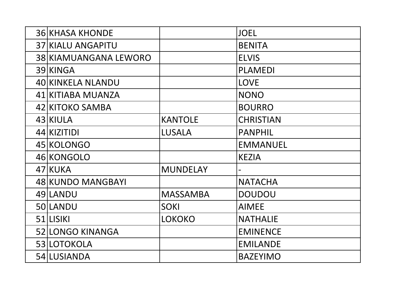| <b>36 KHASA KHONDE</b>   |                 | <b>JOEL</b>      |
|--------------------------|-----------------|------------------|
| <b>37 KIALU ANGAPITU</b> |                 | <b>BENITA</b>    |
| 38 KIAMUANGANA LEWORO    |                 | <b>ELVIS</b>     |
| 39 KINGA                 |                 | <b>PLAMEDI</b>   |
| 40 KINKELA NLANDU        |                 | <b>LOVE</b>      |
| 41 KITIABA MUANZA        |                 | <b>NONO</b>      |
| 42 KITOKO SAMBA          |                 | <b>BOURRO</b>    |
| 43 KIULA                 | <b>KANTOLE</b>  | <b>CHRISTIAN</b> |
| 44 KIZITIDI              | <b>LUSALA</b>   | <b>PANPHIL</b>   |
| 45 KOLONGO               |                 | <b>EMMANUEL</b>  |
| 46 KONGOLO               |                 | <b>KEZIA</b>     |
| 47 KUKA                  | <b>MUNDELAY</b> |                  |
| 48 KUNDO MANGBAYI        |                 | <b>NATACHA</b>   |
| 49 LANDU                 | <b>MASSAMBA</b> | <b>DOUDOU</b>    |
| 50 LANDU                 | <b>SOKI</b>     | <b>AIMEE</b>     |
| 51 LISIKI                | <b>LOKOKO</b>   | <b>NATHALIE</b>  |
| <b>52 LONGO KINANGA</b>  |                 | <b>EMINENCE</b>  |
| 53 LOTOKOLA              |                 | <b>EMILANDE</b>  |
| 54 LUSIANDA              |                 | <b>BAZEYIMO</b>  |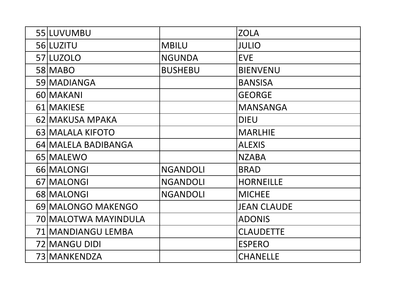| 55 LUVUMBU           |                 | <b>ZOLA</b>        |
|----------------------|-----------------|--------------------|
| 56 LUZITU            | <b>MBILU</b>    | <b>JULIO</b>       |
| 57 LUZOLO            | <b>NGUNDA</b>   | <b>EVE</b>         |
| 58 MABO              | <b>BUSHEBU</b>  | <b>BIENVENU</b>    |
| 59 MADIANGA          |                 | <b>BANSISA</b>     |
| 60 MAKANI            |                 | <b>GEORGE</b>      |
| 61 MAKIESE           |                 | <b>MANSANGA</b>    |
| 62 MAKUSA MPAKA      |                 | <b>DIEU</b>        |
| 63 MALALA KIFOTO     |                 | <b>MARLHIE</b>     |
| 64 MALELA BADIBANGA  |                 | <b>ALEXIS</b>      |
| 65 MALEWO            |                 | <b>NZABA</b>       |
| 66 MALONGI           | <b>NGANDOLI</b> | <b>BRAD</b>        |
| 67 MALONGI           | <b>NGANDOLI</b> | <b>HORNEILLE</b>   |
| 68 MALONGI           | <b>NGANDOLI</b> | <b>MICHEE</b>      |
| 69 MALONGO MAKENGO   |                 | <b>JEAN CLAUDE</b> |
| 70 MALOTWA MAYINDULA |                 | <b>ADONIS</b>      |
| 71 MANDIANGU LEMBA   |                 | <b>CLAUDETTE</b>   |
| 72 MANGU DIDI        |                 | <b>ESPERO</b>      |
| 73 MANKENDZA         |                 | <b>CHANELLE</b>    |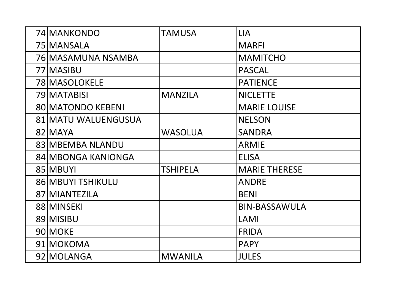| 74 MANKONDO              | TAMUSA          | <b>LIA</b>           |
|--------------------------|-----------------|----------------------|
| 75 MANSALA               |                 | <b>MARFI</b>         |
| 76 MASAMUNA NSAMBA       |                 | <b>MAMITCHO</b>      |
| 77 MASIBU                |                 | <b>PASCAL</b>        |
| 78 MASOLOKELE            |                 | <b>PATIENCE</b>      |
| 79 MATABISI              | <b>MANZILA</b>  | <b>NICLETTE</b>      |
| <b>80 MATONDO KEBENI</b> |                 | <b>MARIE LOUISE</b>  |
| 81 MATU WALUENGUSUA      |                 | <b>NELSON</b>        |
| 82 MAYA                  | <b>WASOLUA</b>  | <b>SANDRA</b>        |
| 83 MBEMBA NLANDU         |                 | <b>ARMIE</b>         |
| 84 MBONGA KANIONGA       |                 | <b>ELISA</b>         |
| 85 MBUYI                 | <b>TSHIPELA</b> | <b>MARIE THERESE</b> |
| 86 MBUYI TSHIKULU        |                 | <b>ANDRE</b>         |
| 87 MIANTEZILA            |                 | <b>BENI</b>          |
| 88 MINSEKI               |                 | <b>BIN-BASSAWULA</b> |
| 89 MISIBU                |                 | LAMI                 |
| 90 MOKE                  |                 | <b>FRIDA</b>         |
| 91 MOKOMA                |                 | <b>PAPY</b>          |
| 92 MOLANGA               | <b>MWANILA</b>  | <b>JULES</b>         |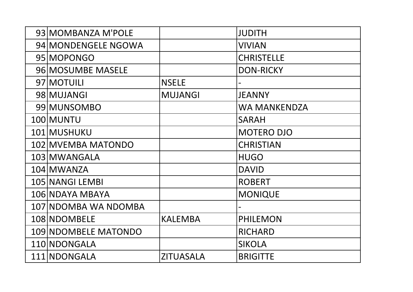| 93 MOMBANZA M'POLE          |                  | <b>JUDITH</b>     |
|-----------------------------|------------------|-------------------|
| 94 MONDENGELE NGOWA         |                  | <b>VIVIAN</b>     |
| 95 MOPONGO                  |                  | <b>CHRISTELLE</b> |
| 96 MOSUMBE MASELE           |                  | <b>DON-RICKY</b>  |
| 97 MOTUILI                  | <b>NSELE</b>     |                   |
| 98 MUJANGI                  | <b>MUJANGI</b>   | <b>JEANNY</b>     |
| 99 MUNSOMBO                 |                  | WA MANKENDZA      |
| 100 MUNTU                   |                  | <b>SARAH</b>      |
| 101 MUSHUKU                 |                  | <b>MOTERO DJO</b> |
| 102 MVEMBA MATONDO          |                  | <b>CHRISTIAN</b>  |
| 103 MWANGALA                |                  | <b>HUGO</b>       |
| 104 MWANZA                  |                  | <b>DAVID</b>      |
| 105 NANGI LEMBI             |                  | <b>ROBERT</b>     |
| 106 NDAYA MBAYA             |                  | <b>MONIQUE</b>    |
| 107 NDOMBA WA NDOMBA        |                  |                   |
| 108 NDOMBELE                | <b>KALEMBA</b>   | <b>PHILEMON</b>   |
| <b>109 NDOMBELE MATONDO</b> |                  | <b>RICHARD</b>    |
| 110 NDONGALA                |                  | <b>SIKOLA</b>     |
| 111 NDONGALA                | <b>ZITUASALA</b> | <b>BRIGITTE</b>   |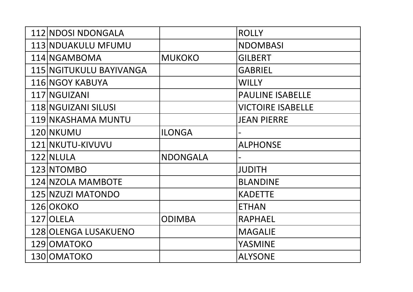| 112 NDOSI NDONGALA          |                 | <b>ROLLY</b>             |
|-----------------------------|-----------------|--------------------------|
| <b>113 NDUAKULU MFUMU</b>   |                 | <b>NDOMBASI</b>          |
| 114 NGAMBOMA                | <b>MUKOKO</b>   | <b>GILBERT</b>           |
| 115 NGITUKULU BAYIVANGA     |                 | <b>GABRIEL</b>           |
| 116 NGOY KABUYA             |                 | <b>WILLY</b>             |
| 117 NGUIZANI                |                 | <b>PAULINE ISABELLE</b>  |
| 118 NGUIZANI SILUSI         |                 | <b>VICTOIRE ISABELLE</b> |
| 119 NKASHAMA MUNTU          |                 | <b>JEAN PIERRE</b>       |
| 120 NKUMU                   | <b>ILONGA</b>   |                          |
| 121 NKUTU-KIVUVU            |                 | <b>ALPHONSE</b>          |
| 122 NLULA                   | <b>NDONGALA</b> |                          |
| 123 NTOMBO                  |                 | <b>JUDITH</b>            |
| 124 NZOLA MAMBOTE           |                 | <b>BLANDINE</b>          |
| 125 NZUZI MATONDO           |                 | <b>KADETTE</b>           |
| 126 OKOKO                   |                 | <b>ETHAN</b>             |
| 127 OLELA                   | <b>ODIMBA</b>   | <b>RAPHAEL</b>           |
| <b>128 OLENGA LUSAKUENO</b> |                 | <b>MAGALIE</b>           |
| 129 OMATOKO                 |                 | <b>YASMINE</b>           |
| 130 OMATOKO                 |                 | <b>ALYSONE</b>           |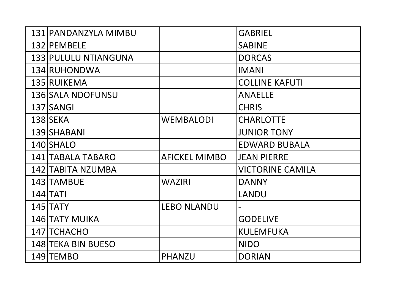| 131 PANDANZYLA MIMBU     |                      | <b>GABRIEL</b>          |
|--------------------------|----------------------|-------------------------|
| 132 PEMBELE              |                      | <b>SABINE</b>           |
| 133 PULULU NTIANGUNA     |                      | <b>DORCAS</b>           |
| 134 RUHONDWA             |                      | <b>IMANI</b>            |
| 135 RUIKEMA              |                      | <b>COLLINE KAFUTI</b>   |
| <b>136 SALA NDOFUNSU</b> |                      | <b>ANAELLE</b>          |
| 137 SANGI                |                      | <b>CHRIS</b>            |
| <b>138 SEKA</b>          | <b>WEMBALODI</b>     | <b>CHARLOTTE</b>        |
| 139 SHABANI              |                      | <b>JUNIOR TONY</b>      |
| 140 SHALO                |                      | <b>EDWARD BUBALA</b>    |
| 141 TABALA TABARO        | <b>AFICKEL MIMBO</b> | <b>JEAN PIERRE</b>      |
| 142 TABITA NZUMBA        |                      | <b>VICTORINE CAMILA</b> |
| 143 TAMBUE               | <b>WAZIRI</b>        | <b>DANNY</b>            |
| $144$ $TATI$             |                      | <b>LANDU</b>            |
| 145 TATY                 | <b>LEBO NLANDU</b>   |                         |
| <b>146 TATY MUIKA</b>    |                      | <b>GODELIVE</b>         |
| 147 TCHACHO              |                      | <b>KULEMFUKA</b>        |
| 148 TEKA BIN BUESO       |                      | <b>NIDO</b>             |
| 149 TEMBO                | PHANZU               | <b>DORIAN</b>           |